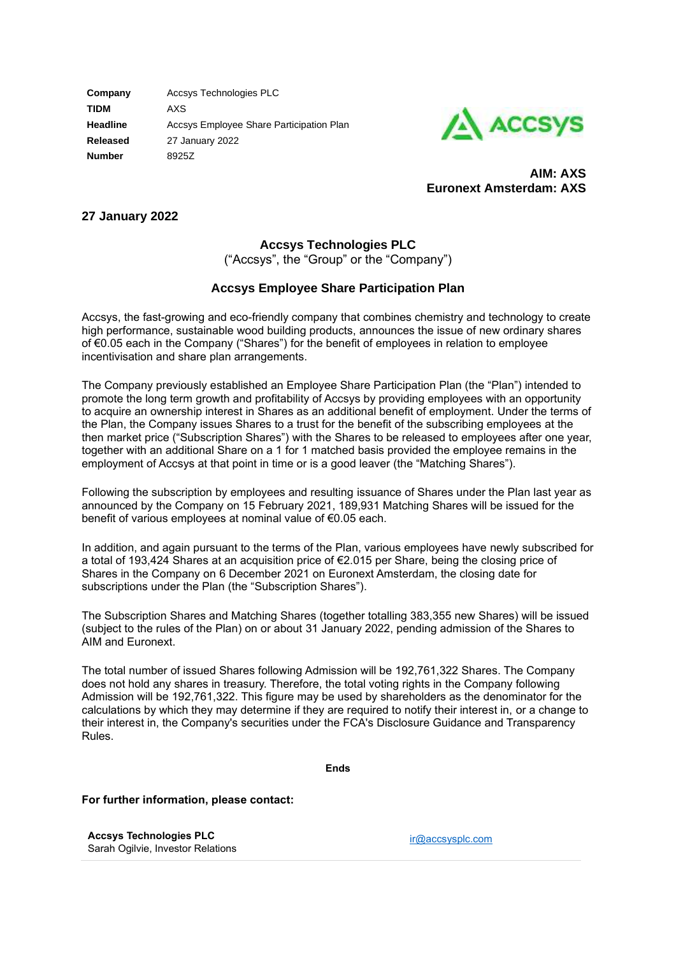**Company** Accsys Technologies PLC **TIDM** AXS **Headline** Accsys Employee Share Participation Plan **Released** 27 January 2022 **Number** 8925Z



**AIM: AXS Euronext Amsterdam: AXS**

## **27 January 2022**

# **Accsys Technologies PLC**

("Accsys", the "Group" or the "Company")

### **Accsys Employee Share Participation Plan**

Accsys, the fast-growing and eco-friendly company that combines chemistry and technology to create high performance, sustainable wood building products, announces the issue of new ordinary shares of €0.05 each in the Company ("Shares") for the benefit of employees in relation to employee incentivisation and share plan arrangements.

The Company previously established an Employee Share Participation Plan (the "Plan") intended to promote the long term growth and profitability of Accsys by providing employees with an opportunity to acquire an ownership interest in Shares as an additional benefit of employment. Under the terms of the Plan, the Company issues Shares to a trust for the benefit of the subscribing employees at the then market price ("Subscription Shares") with the Shares to be released to employees after one year, together with an additional Share on a 1 for 1 matched basis provided the employee remains in the employment of Accsys at that point in time or is a good leaver (the "Matching Shares").

Following the subscription by employees and resulting issuance of Shares under the Plan last year as announced by the Company on 15 February 2021, 189,931 Matching Shares will be issued for the benefit of various employees at nominal value of €0.05 each.

In addition, and again pursuant to the terms of the Plan, various employees have newly subscribed for a total of 193,424 Shares at an acquisition price of €2.015 per Share, being the closing price of Shares in the Company on 6 December 2021 on Euronext Amsterdam, the closing date for subscriptions under the Plan (the "Subscription Shares").

The Subscription Shares and Matching Shares (together totalling 383,355 new Shares) will be issued (subject to the rules of the Plan) on or about 31 January 2022, pending admission of the Shares to AIM and Euronext.

The total number of issued Shares following Admission will be 192,761,322 Shares. The Company does not hold any shares in treasury. Therefore, the total voting rights in the Company following Admission will be 192,761,322. This figure may be used by shareholders as the denominator for the calculations by which they may determine if they are required to notify their interest in, or a change to their interest in, the Company's securities under the FCA's Disclosure Guidance and Transparency Rules.

**Ends**

### **For further information, please contact:**

**Accsys Technologies PLC** Sarah Ogilvie, Investor Relations

[ir@accsysplc.com](mailto:ir@accsysplc.com)